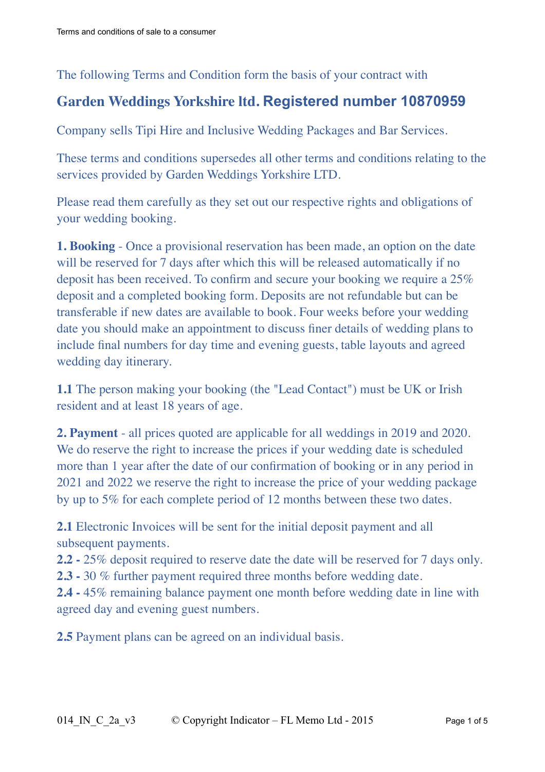## The following Terms and Condition form the basis of your contract with

# **Garden Weddings Yorkshire ltd. Registered number 10870959**

Company sells Tipi Hire and Inclusive Wedding Packages and Bar Services.

These terms and conditions supersedes all other terms and conditions relating to the services provided by Garden Weddings Yorkshire LTD.

Please read them carefully as they set out our respective rights and obligations of your wedding booking.

**1. Booking** - Once a provisional reservation has been made, an option on the date will be reserved for 7 days after which this will be released automatically if no deposit has been received. To confirm and secure your booking we require a 25% deposit and a completed booking form. Deposits are not refundable but can be transferable if new dates are available to book. Four weeks before your wedding date you should make an appointment to discuss finer details of wedding plans to include final numbers for day time and evening guests, table layouts and agreed wedding day itinerary.

**1.1** The person making your booking (the "Lead Contact") must be UK or Irish resident and at least 18 years of age.

**2. Payment** - all prices quoted are applicable for all weddings in 2019 and 2020. We do reserve the right to increase the prices if your wedding date is scheduled more than 1 year after the date of our confirmation of booking or in any period in 2021 and 2022 we reserve the right to increase the price of your wedding package by up to 5% for each complete period of 12 months between these two dates.

**2.1** Electronic Invoices will be sent for the initial deposit payment and all subsequent payments.

**2.2 -** 25% deposit required to reserve date the date will be reserved for 7 days only. **2.3 -** 30 % further payment required three months before wedding date.

**2.4 -** 45% remaining balance payment one month before wedding date in line with agreed day and evening guest numbers.

**2.5** Payment plans can be agreed on an individual basis.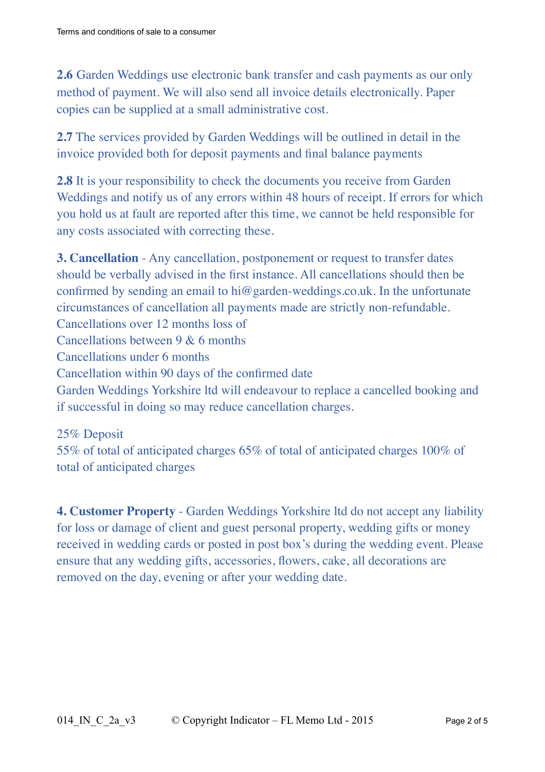**2.6** Garden Weddings use electronic bank transfer and cash payments as our only method of payment. We will also send all invoice details electronically. Paper copies can be supplied at a small administrative cost.

**2.7** The services provided by Garden Weddings will be outlined in detail in the invoice provided both for deposit payments and final balance payments

**2.8** It is your responsibility to check the documents you receive from Garden Weddings and notify us of any errors within 48 hours of receipt. If errors for which you hold us at fault are reported after this time, we cannot be held responsible for any costs associated with correcting these.

**3. Cancellation** - Any cancellation, postponement or request to transfer dates should be verbally advised in the first instance. All cancellations should then be confirmed by sending an email to hi@garden-weddings.co.uk. In the unfortunate circumstances of cancellation all payments made are strictly non-refundable. Cancellations over 12 months loss of Cancellations between 9 & 6 months Cancellations under 6 months Cancellation within 90 days of the confirmed date Garden Weddings Yorkshire ltd will endeavour to replace a cancelled booking and if successful in doing so may reduce cancellation charges.

25% Deposit 55% of total of anticipated charges 65% of total of anticipated charges 100% of total of anticipated charges

**4. Customer Property** - Garden Weddings Yorkshire ltd do not accept any liability for loss or damage of client and guest personal property, wedding gifts or money received in wedding cards or posted in post box's during the wedding event. Please ensure that any wedding gifts, accessories, flowers, cake, all decorations are removed on the day, evening or after your wedding date.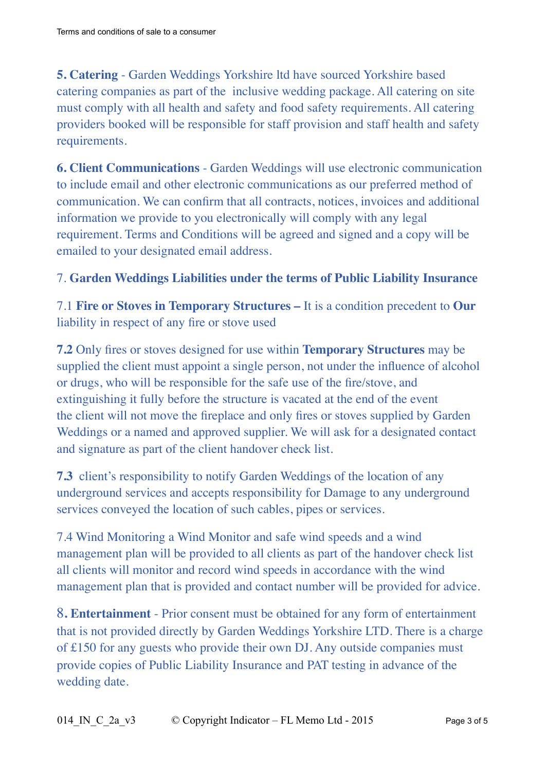**5. Catering** - Garden Weddings Yorkshire ltd have sourced Yorkshire based catering companies as part of the inclusive wedding package. All catering on site must comply with all health and safety and food safety requirements. All catering providers booked will be responsible for staff provision and staff health and safety requirements.

**6. Client Communications** - Garden Weddings will use electronic communication to include email and other electronic communications as our preferred method of communication. We can confirm that all contracts, notices, invoices and additional information we provide to you electronically will comply with any legal requirement. Terms and Conditions will be agreed and signed and a copy will be emailed to your designated email address.

## 7. **Garden Weddings Liabilities under the terms of Public Liability Insurance**

7.1 **Fire or Stoves in Temporary Structures –** It is a condition precedent to **Our**  liability in respect of any fire or stove used

**7.2** Only fires or stoves designed for use within **Temporary Structures** may be supplied the client must appoint a single person, not under the influence of alcohol or drugs, who will be responsible for the safe use of the fire/stove, and extinguishing it fully before the structure is vacated at the end of the event the client will not move the fireplace and only fires or stoves supplied by Garden Weddings or a named and approved supplier. We will ask for a designated contact and signature as part of the client handover check list.

**7.3** client's responsibility to notify Garden Weddings of the location of any underground services and accepts responsibility for Damage to any underground services conveyed the location of such cables, pipes or services.

7.4 Wind Monitoring a Wind Monitor and safe wind speeds and a wind management plan will be provided to all clients as part of the handover check list all clients will monitor and record wind speeds in accordance with the wind management plan that is provided and contact number will be provided for advice.

8**. Entertainment** - Prior consent must be obtained for any form of entertainment that is not provided directly by Garden Weddings Yorkshire LTD. There is a charge of £150 for any guests who provide their own DJ. Any outside companies must provide copies of Public Liability Insurance and PAT testing in advance of the wedding date.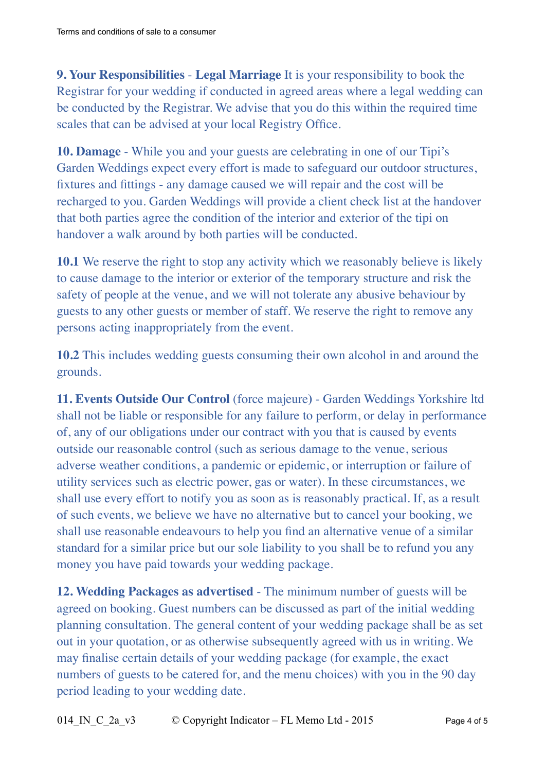**9. Your Responsibilities** - **Legal Marriage** It is your responsibility to book the Registrar for your wedding if conducted in agreed areas where a legal wedding can be conducted by the Registrar. We advise that you do this within the required time scales that can be advised at your local Registry Office.

**10. Damage** - While you and your guests are celebrating in one of our Tipi's Garden Weddings expect every effort is made to safeguard our outdoor structures, fixtures and fittings - any damage caused we will repair and the cost will be recharged to you. Garden Weddings will provide a client check list at the handover that both parties agree the condition of the interior and exterior of the tipi on handover a walk around by both parties will be conducted.

**10.1** We reserve the right to stop any activity which we reasonably believe is likely to cause damage to the interior or exterior of the temporary structure and risk the safety of people at the venue, and we will not tolerate any abusive behaviour by guests to any other guests or member of staff. We reserve the right to remove any persons acting inappropriately from the event.

**10.2** This includes wedding guests consuming their own alcohol in and around the grounds.

**11. Events Outside Our Control** (force majeure**)** - Garden Weddings Yorkshire ltd shall not be liable or responsible for any failure to perform, or delay in performance of, any of our obligations under our contract with you that is caused by events outside our reasonable control (such as serious damage to the venue, serious adverse weather conditions, a pandemic or epidemic, or interruption or failure of utility services such as electric power, gas or water). In these circumstances, we shall use every effort to notify you as soon as is reasonably practical. If, as a result of such events, we believe we have no alternative but to cancel your booking, we shall use reasonable endeavours to help you find an alternative venue of a similar standard for a similar price but our sole liability to you shall be to refund you any money you have paid towards your wedding package.

**12. Wedding Packages as advertised** - The minimum number of guests will be agreed on booking. Guest numbers can be discussed as part of the initial wedding planning consultation. The general content of your wedding package shall be as set out in your quotation, or as otherwise subsequently agreed with us in writing. We may finalise certain details of your wedding package (for example, the exact numbers of guests to be catered for, and the menu choices) with you in the 90 day period leading to your wedding date.